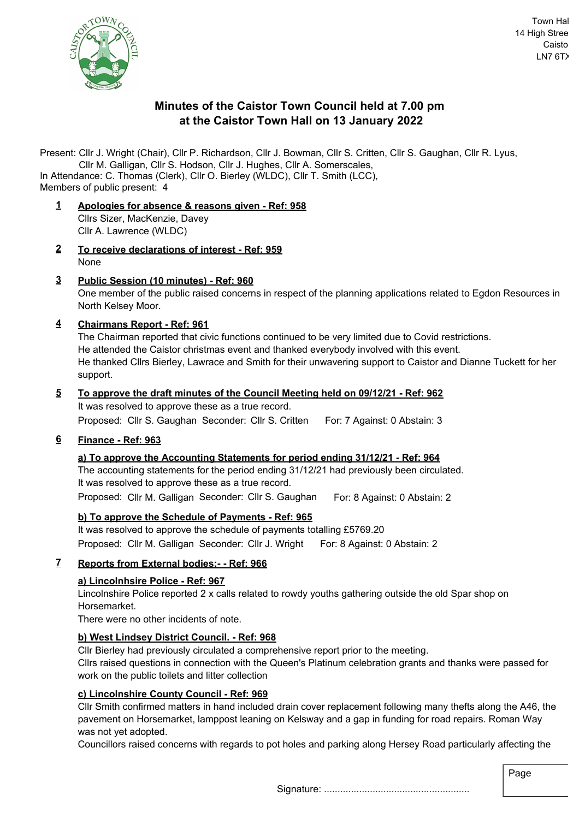

# **Minutes of the Caistor Town Council held at 7.00 pm at the Caistor Town Hall on 13 January 2022**

Present: Cllr J. Wright (Chair), Cllr P. Richardson, Cllr J. Bowman, Cllr S. Critten, Cllr S. Gaughan, Cllr R. Lyus,

Cllr M. Galligan, Cllr S. Hodson, Cllr J. Hughes, Cllr A. Somerscales, Members of public present: 4 In Attendance: C. Thomas (Clerk), Cllr O. Bierley (WLDC), Cllr T. Smith (LCC),

- **1 Apologies for absence & reasons given Ref: 958** Cllrs Sizer, MacKenzie, Davey Cllr A. Lawrence (WLDC)
- **2 To receive declarations of interest Ref: 959** None
- **3 Public Session (10 minutes) Ref: 960** One member of the public raised concerns in respect of the planning applications related to Egdon Resources in North Kelsey Moor.
- **4 Chairmans Report Ref: 961**

The Chairman reported that civic functions continued to be very limited due to Covid restrictions. He attended the Caistor christmas event and thanked everybody involved with this event. He thanked Cllrs Bierley, Lawrace and Smith for their unwavering support to Caistor and Dianne Tuckett for her support.

#### **5 To approve the draft minutes of the Council Meeting held on 09/12/21 - Ref: 962** It was resolved to approve these as a true record.

Proposed: Cllr S. Gaughan Seconder: Cllr S. Critten For: 7 Against: 0 Abstain: 3

**6 Finance - Ref: 963**

## **a) To approve the Accounting Statements for period ending 31/12/21 - Ref: 964**

The accounting statements for the period ending 31/12/21 had previously been circulated. It was resolved to approve these as a true record. Proposed: Cllr M. Galligan Seconder: Cllr S. Gaughan For: 8 Against: 0 Abstain: 2

# **b) To approve the Schedule of Payments - Ref: 965**

It was resolved to approve the schedule of payments totalling £5769.20 Proposed: Cllr M. Galligan Seconder: Cllr J. Wright For: 8 Against: 0 Abstain: 2

## **7 Reports from External bodies:- - Ref: 966**

## **a) Lincolnhsire Police - Ref: 967**

Lincolnshire Police reported 2 x calls related to rowdy youths gathering outside the old Spar shop on Horsemarket.

There were no other incidents of note.

# **b) West Lindsey District Council. - Ref: 968**

Cllr Bierley had previously circulated a comprehensive report prior to the meeting.

Cllrs raised questions in connection with the Queen's Platinum celebration grants and thanks were passed for work on the public toilets and litter collection

## **c) Lincolnshire County Council - Ref: 969**

Cllr Smith confirmed matters in hand included drain cover replacement following many thefts along the A46, the pavement on Horsemarket, lamppost leaning on Kelsway and a gap in funding for road repairs. Roman Way was not yet adopted.

Councillors raised concerns with regards to pot holes and parking along Hersey Road particularly affecting the

Page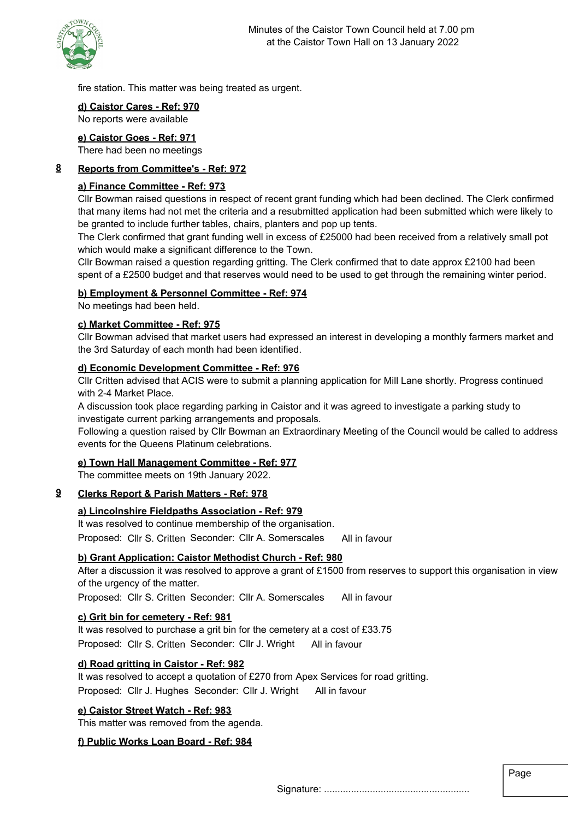

fire station. This matter was being treated as urgent.

#### **d) Caistor Cares - Ref: 970** No reports were available

# **e) Caistor Goes - Ref: 971**

There had been no meetings

## **8 Reports from Committee's - Ref: 972**

## **a) Finance Committee - Ref: 973**

Cllr Bowman raised questions in respect of recent grant funding which had been declined. The Clerk confirmed that many items had not met the criteria and a resubmitted application had been submitted which were likely to be granted to include further tables, chairs, planters and pop up tents.

The Clerk confirmed that grant funding well in excess of £25000 had been received from a relatively small pot which would make a significant difference to the Town.

Cllr Bowman raised a question regarding gritting. The Clerk confirmed that to date approx £2100 had been spent of a £2500 budget and that reserves would need to be used to get through the remaining winter period.

## **b) Employment & Personnel Committee - Ref: 974**

No meetings had been held.

## **c) Market Committee - Ref: 975**

Cllr Bowman advised that market users had expressed an interest in developing a monthly farmers market and the 3rd Saturday of each month had been identified.

## **d) Economic Development Committee - Ref: 976**

Cllr Critten advised that ACIS were to submit a planning application for Mill Lane shortly. Progress continued with 2-4 Market Place.

A discussion took place regarding parking in Caistor and it was agreed to investigate a parking study to investigate current parking arrangements and proposals.

Following a question raised by Cllr Bowman an Extraordinary Meeting of the Council would be called to address events for the Queens Platinum celebrations.

## **e) Town Hall Management Committee - Ref: 977**

The committee meets on 19th January 2022.

## **9 Clerks Report & Parish Matters - Ref: 978**

## **a) Lincolnshire Fieldpaths Association - Ref: 979**

It was resolved to continue membership of the organisation. Proposed: Cllr S. Critten Seconder: Cllr A. Somerscales All in favour

## **b) Grant Application: Caistor Methodist Church - Ref: 980**

After a discussion it was resolved to approve a grant of £1500 from reserves to support this organisation in view of the urgency of the matter.

Proposed: Cllr S. Critten Seconder: Cllr A. Somerscales All in favour

## **c) Grit bin for cemetery - Ref: 981**

It was resolved to purchase a grit bin for the cemetery at a cost of £33.75 Proposed: Cllr S. Critten Seconder: Cllr J. Wright All in favour

## **d) Road gritting in Caistor - Ref: 982**

It was resolved to accept a quotation of £270 from Apex Services for road gritting. Proposed: Cllr J. Hughes Seconder: Cllr J. Wright All in favour

## **e) Caistor Street Watch - Ref: 983**

This matter was removed from the agenda.

## **f) Public Works Loan Board - Ref: 984**

Signature: ......................................................